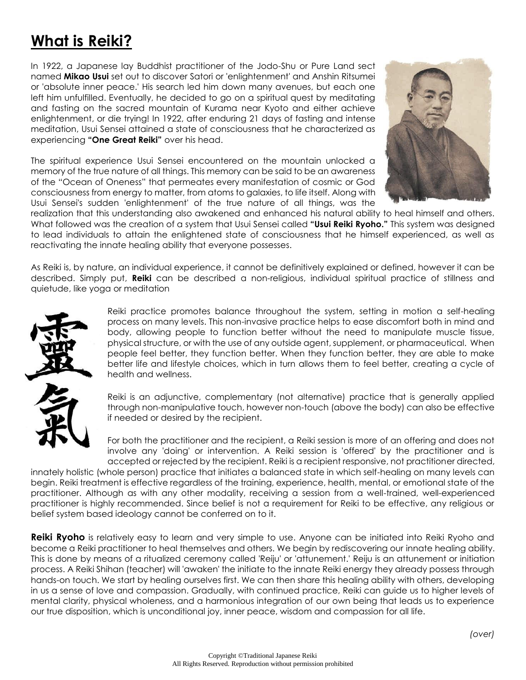# **What is Reiki?**

In 1922, a Japanese lay Buddhist practitioner of the Jodo-Shu or Pure Land sect named **Mikao Usui** set out to discover Satori or 'enlightenment' and Anshin Ritsumei or 'absolute inner peace.' His search led him down many avenues, but each one left him unfulfilled. Eventually, he decided to go on a spiritual quest by meditating and fasting on the sacred mountain of Kurama near Kyoto and either achieve enlightenment, or die trying! In 1922, after enduring 21 days of fasting and intense meditation, Usui Sensei attained a state of consciousness that he characterized as experiencing **"One Great Reiki"** over his head.

The spiritual experience Usui Sensei encountered on the mountain unlocked a memory of the true nature of all things. This memory can be said to be an awareness of the "Ocean of Oneness" that permeates every manifestation of cosmic or God consciousness from energy to matter, from atoms to galaxies, to life itself. Along with Usui Sensei's sudden 'enlightenment' of the true nature of all things, was the



realization that this understanding also awakened and enhanced his natural ability to heal himself and others. What followed was the creation of a system that Usui Sensei called **"Usui Reiki Ryoho."** This system was designed to lead individuals to attain the enlightened state of consciousness that he himself experienced, as well as reactivating the innate healing ability that everyone possesses.

As Reiki is, by nature, an individual experience, it cannot be definitively explained or defined, however it can be described. Simply put, **Reiki** can be described a non-religious, individual spiritual practice of stillness and quietude, like yoga or meditation



Reiki practice promotes balance throughout the system, setting in motion a self-healing process on many levels. This non-invasive practice helps to ease discomfort both in mind and body, allowing people to function better without the need to manipulate muscle tissue, physical structure, or with the use of any outside agent, supplement, or pharmaceutical. When people feel better, they function better. When they function better, they are able to make better life and lifestyle choices, which in turn allows them to feel better, creating a cycle of health and wellness.

Reiki is an adjunctive, complementary (not alternative) practice that is generally applied through non-manipulative touch, however non-touch (above the body) can also be effective if needed or desired by the recipient.

For both the practitioner and the recipient, a Reiki session is more of an offering and does not involve any 'doing' or intervention. A Reiki session is 'offered' by the practitioner and is accepted or rejected by the recipient. Reiki is a recipient responsive, not practitioner directed,

innately holistic (whole person) practice that initiates a balanced state in which self-healing on many levels can begin. Reiki treatment is effective regardless of the training, experience, health, mental, or emotional state of the practitioner. Although as with any other modality, receiving a session from a well-trained, well-experienced practitioner is highly recommended. Since belief is not a requirement for Reiki to be effective, any religious or belief system based ideology cannot be conferred on to it.

**Reiki Ryoho** is relatively easy to learn and very simple to use. Anyone can be initiated into Reiki Ryoho and become a Reiki practitioner to heal themselves and others. We begin by rediscovering our innate healing ability. This is done by means of a ritualized ceremony called 'Reiju' or 'attunement.' Reiju is an attunement or initiation process. A Reiki Shihan (teacher) will 'awaken' the initiate to the innate Reiki energy they already possess through hands-on touch. We start by healing ourselves first. We can then share this healing ability with others, developing in us a sense of love and compassion. Gradually, with continued practice, Reiki can guide us to higher levels of mental clarity, physical wholeness, and a harmonious integration of our own being that leads us to experience our true disposition, which is unconditional joy, inner peace, wisdom and compassion for all life.